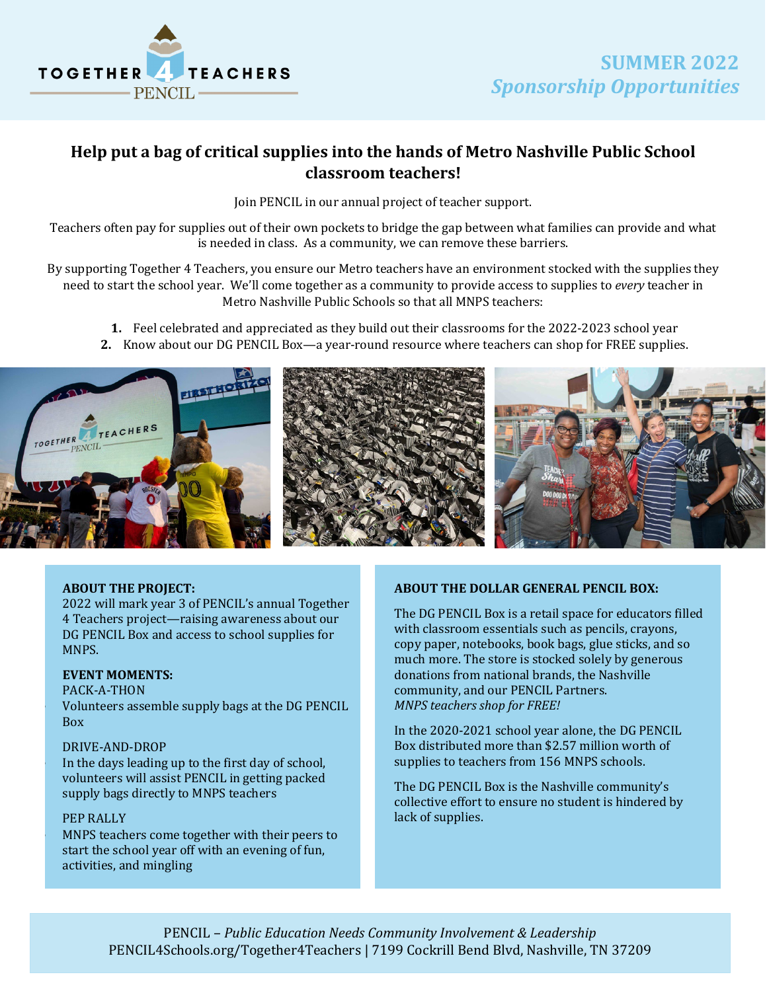

## **Help put a bag of critical supplies into the hands of Metro Nashville Public School classroom teachers!**

Join PENCIL in our annual project of teacher support.

Teachers often pay for supplies out of their own pockets to bridge the gap between what families can provide and what is needed in class. As a community, we can remove these barriers.

By supporting Together 4 Teachers, you ensure our Metro teachers have an environment stocked with the supplies they need to start the school year. We'll come together as a community to provide access to supplies to *every* teacher in Metro Nashville Public Schools so that all MNPS teachers:

**1.** Feel celebrated and appreciated as they build out their classrooms for the 2022-2023 school year

**2.** Know about our DG PENCIL Box—a year-round resource where teachers can shop for FREE supplies.



## **ABOUT THE PROJECT:**

2022 will mark year 3 of PENCIL's annual Together 4 Teachers project—raising awareness about our DG PENCIL Box and access to school supplies for MNPS.

### **EVENT MOMENTS:**

#### PACK-A-THON

• Volunteers assemble supply bags at the DG PENCIL Box

#### DRIVE-AND-DROP

In the days leading up to the first day of school, volunteers will assist PENCIL in getting packed supply bags directly to MNPS teachers

## PEP RALLY

MNPS teachers come together with their peers to start the school year off with an evening of fun, activities, and mingling

## **ABOUT THE DOLLAR GENERAL PENCIL BOX:**

The DG PENCIL Box is a retail space for educators filled with classroom essentials such as pencils, crayons, copy paper, notebooks, book bags, glue sticks, and so much more. The store is stocked solely by generous donations from national brands, the Nashville community, and our PENCIL Partners. *MNPS teachers shop for FREE!*

In the 2020-2021 school year alone, the DG PENCIL Box distributed more than \$2.57 million worth of supplies to teachers from 156 MNPS schools.

The DG PENCIL Box is the Nashville community's collective effort to ensure no student is hindered by lack of supplies.

PENCIL – *Public Education Needs Community Involvement & Leadership* [PENCIL4Schools.org/Together4Teachers | 7199 Cockrill Bend Blvd, Nashville, TN 37209](https://pencil4schools.org/together4teachers/)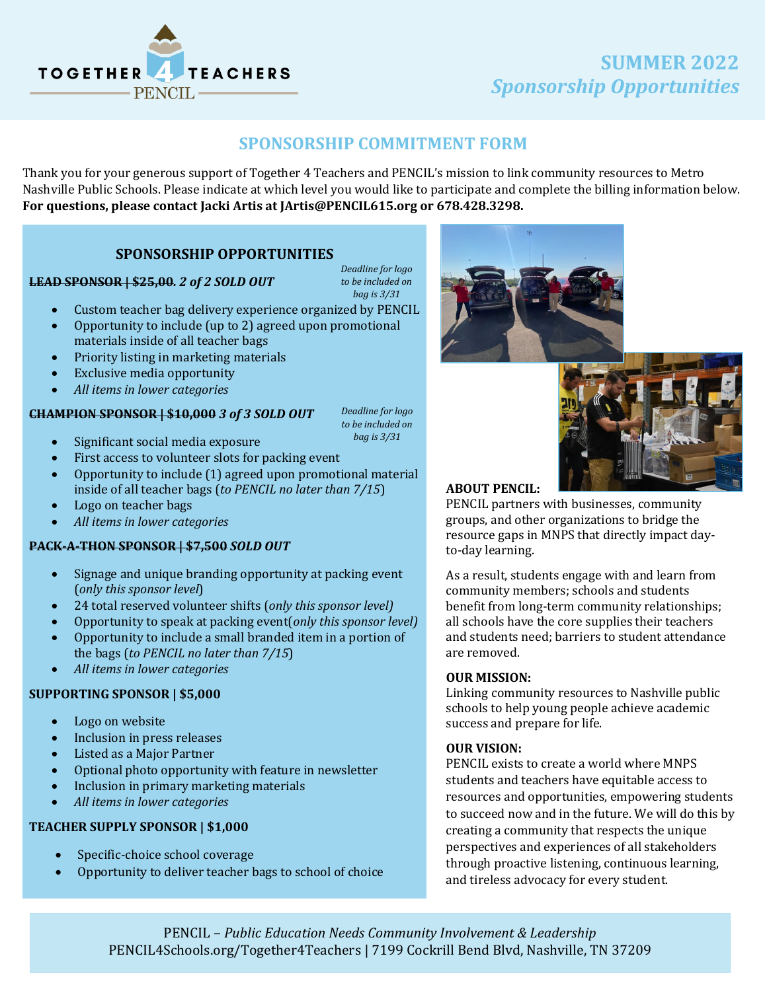

## **SUMMER 2022** *Sponsorship Opportunities*

## **SPONSORSHIP COMMITMENT FORM**

Thank you for your generous support of Together 4 Teachers and PENCIL's mission to link community resources to Metro Nashville Public Schools. Please indicate at which level you would like to participate and complete the billing information below. **For questions, please contact Jacki Artis at JArtis@PENCIL615.org or 678.428.3298.**

## **SPONSORSHIP OPPORTUNITIES**

*Deadline for logo to be included on bag is 3/31*

- Custom teacher bag delivery experience organized by PENCIL
- Opportunity to include (up to 2) agreed upon promotional materials inside of all teacher bags
- Priority listing in marketing materials
- Exclusive media opportunity

**LEAD SPONSOR | \$25,00***. 2 of 2 SOLD OUT*

• *All items in lower categories*

## **CHAMPION SPONSOR | \$10,000** *3 of 3 SOLD OUT*

*Deadline for logo to be included on bag is 3/31*

- Significant social media exposure
- First access to volunteer slots for packing event
- Opportunity to include (1) agreed upon promotional material inside of all teacher bags (*to PENCIL no later than 7/15*)
- Logo on teacher bags
- *All items in lower categories*

## **PACK-A-THON SPONSOR | \$7,500** *SOLD OUT*

- Signage and unique branding opportunity at packing event (*only this sponsor level*)
- 24 total reserved volunteer shifts (*only this sponsor level)*
- Opportunity to speak at packing event(*only this sponsor level)*
- Opportunity to include a small branded item in a portion of the bags (*to PENCIL no later than 7/15*)
- *All items in lower categories*

## **SUPPORTING SPONSOR | \$5,000**

- Logo on website
- Inclusion in press releases
- Listed as a Major Partner<br>• Optional photo opportuni
- Optional photo opportunity with feature in newsletter
- Inclusion in primary marketing materials
- *All items in lower categories*

## **TEACHER SUPPLY SPONSOR | \$1,000**

- Specific-choice school coverage
- Opportunity to deliver teacher bags to school of choice





## **ABOUT PENCIL:**

PENCIL partners with businesses, community groups, and other organizations to bridge the resource gaps in MNPS that directly impact dayto-day learning.

As a result, students engage with and learn from community members; schools and students benefit from long-term community relationships; all schools have the core supplies their teachers and students need; barriers to student attendance are removed.

## **OUR MISSION:**

Linking community resources to Nashville public schools to help young people achieve academic success and prepare for life.

#### **OUR VISION:**

PENCIL exists to create a world where MNPS students and teachers have equitable access to resources and opportunities, empowering students to succeed now and in the future. We will do this by creating a community that respects the unique perspectives and experiences of all stakeholders through proactive listening, continuous learning, and tireless advocacy for every student.

PENCIL – *Public Education Needs Community Involvement & Leadership* [PENCIL4Schools.org/Together4Teachers | 7199 Cockrill Bend Blvd, Nashville, TN 37209](https://pencil4schools.org/together4teachers/)